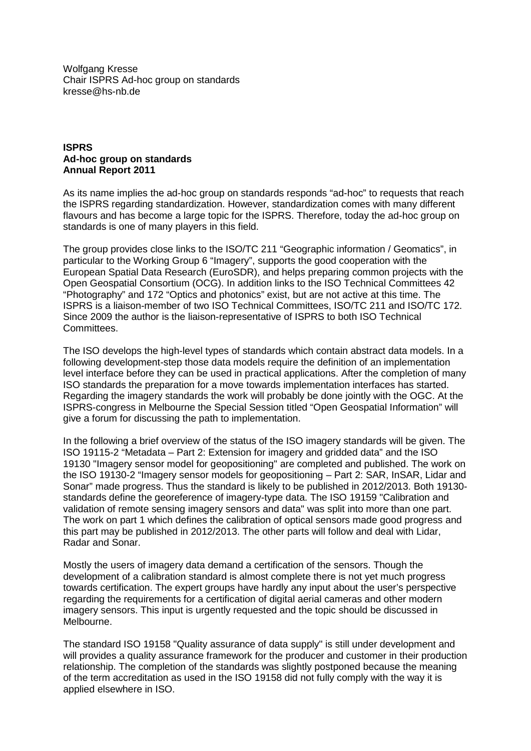Wolfgang Kresse Chair ISPRS Ad-hoc group on standards kresse@hs-nb.de

## **ISPRS Ad-hoc group on standards Annual Report 2011**

As its name implies the ad-hoc group on standards responds "ad-hoc" to requests that reach the ISPRS regarding standardization. However, standardization comes with many different flavours and has become a large topic for the ISPRS. Therefore, today the ad-hoc group on standards is one of many players in this field.

The group provides close links to the ISO/TC 211 "Geographic information / Geomatics", in particular to the Working Group 6 "Imagery", supports the good cooperation with the European Spatial Data Research (EuroSDR), and helps preparing common projects with the Open Geospatial Consortium (OCG). In addition links to the ISO Technical Committees 42 "Photography" and 172 "Optics and photonics" exist, but are not active at this time. The ISPRS is a liaison-member of two ISO Technical Committees, ISO/TC 211 and ISO/TC 172. Since 2009 the author is the liaison-representative of ISPRS to both ISO Technical Committees.

The ISO develops the high-level types of standards which contain abstract data models. In a following development-step those data models require the definition of an implementation level interface before they can be used in practical applications. After the completion of many ISO standards the preparation for a move towards implementation interfaces has started. Regarding the imagery standards the work will probably be done jointly with the OGC. At the ISPRS-congress in Melbourne the Special Session titled "Open Geospatial Information" will give a forum for discussing the path to implementation.

In the following a brief overview of the status of the ISO imagery standards will be given. The ISO 19115-2 "Metadata – Part 2: Extension for imagery and gridded data" and the ISO 19130 "Imagery sensor model for geopositioning" are completed and published. The work on the ISO 19130-2 "Imagery sensor models for geopositioning – Part 2: SAR, InSAR, Lidar and Sonar" made progress. Thus the standard is likely to be published in 2012/2013. Both 19130 standards define the georeference of imagery-type data. The ISO 19159 "Calibration and validation of remote sensing imagery sensors and data" was split into more than one part. The work on part 1 which defines the calibration of optical sensors made good progress and this part may be published in 2012/2013. The other parts will follow and deal with Lidar, Radar and Sonar.

Mostly the users of imagery data demand a certification of the sensors. Though the development of a calibration standard is almost complete there is not yet much progress towards certification. The expert groups have hardly any input about the user's perspective regarding the requirements for a certification of digital aerial cameras and other modern imagery sensors. This input is urgently requested and the topic should be discussed in Melbourne.

The standard ISO 19158 "Quality assurance of data supply" is still under development and will provides a quality assurance framework for the producer and customer in their production relationship. The completion of the standards was slightly postponed because the meaning of the term accreditation as used in the ISO 19158 did not fully comply with the way it is applied elsewhere in ISO.